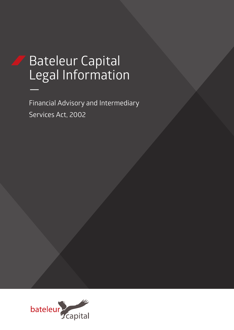## Bateleur Capital Legal Information —

Financial Advisory and Intermediary Services Act, 2002

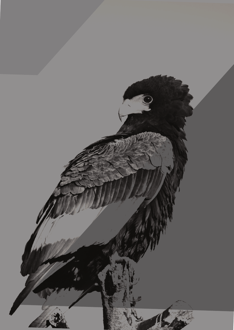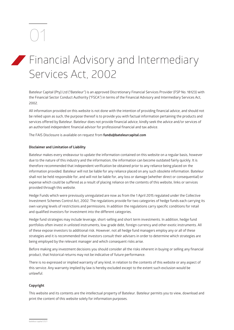01

### Financial Advisory and Intermediary Services Act, 2002

Bateleur Capital (Pty) Ltd ("Bateleur") is an approved Discretionary Financial Services Provider (FSP No. 18123) with the Financial Sector Conduct Authority ("FSCA") in terms of the Financial Advisory and Intermediary Services Act, 2002.

All information provided on this website is not done with the intention of providing financial advice, and should not be relied upon as such, the purpose thereof is to provide you with factual information pertaining the products and services offered by Bateleur. Bateleur does not provide financial advice, kindly seek the advice and/or services of an authorised independent financial advisor for professional financial and tax advice.

The FAIS Disclosure is available on request from **funds@bateleurcapital.com**

#### **Disclaimer and Limitation of Liability**

Bateleur makes every endeavour to update the information contained on this website on a regular basis, however due to the nature of this industry and the information, the information can become outdated fairly quickly. It is therefore recommended that independent verification be obtained prior to any reliance being placed on the information provided. Bateleur will not be liable for any reliance placed on any such obsolete information. Bateleur shall not be held responsible for, and will not be liable for, any loss or damage (whether direct or consequential) or expense which could be suffered as a result of placing reliance on the contents of this website, links or services provided through this website.

Hedge Funds which were previously unregulated are now as from the 1 April 2015 regulated under the Collective Investment Schemes Control Act, 2002. The regulations provide for two categories of hedge funds each carrying its own varying levels of restrictions and permissions. In addition the regulations carry specific conditions for retail and qualified investors for investment into the different categories.

Hedge fund strategies may include leverage, short-selling and short term investments. In addition, hedge fund portfolios often invest in unlisted instruments, low-grade debt, foreign currency and other exotic instruments. All of these expose investors to additional risk. However, not all hedge fund managers employ any or all of these strategies and it is recommended that investors consult their advisers in order to determine which strategies are being employed by the relevant manager and which consequent risks arise.

Before making any investment decisions you should consider all the risks inherent in buying or selling any financial product, that historical returns may not be indicative of future performance.

There is no expressed or implied warranty of any kind, in relation to the contents of this website or any aspect of this service. Any warranty implied by law is hereby excluded except to the extent such exclusion would be unlawful.

#### **Copyright**

This website and its contents are the intellectual property of Bateleur. Bateleur permits you to view, download and print the content of this website solely for information purposes.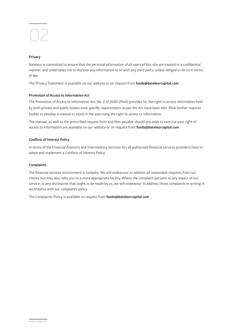# 02

#### **Privacy**

Bateleur is committed to ensure that the personal information of all users of this site are treated in a confidential manner, and undertakes not to disclose any information to or with any third party, unless obliged to do so in terms of law.

The Privacy Statement is available on our website or on request from **funds@bateleurcapital.com**.

#### **Promotion of Access to Information Act**

The Promotion of Access to Information Act, No. 2 of 2000 (PAIA) provides for the right to access information held by both private and public bodies once specific requirements as per the Act have been met. PAIA further requires bodies to develop a manual to assist in the exercising the right to access to information.

The manual, as well as the prescribed request form and fees payable should you wish to exercise your right of access to information are available on our website or on request from **funds@bateleurcapital.com**

#### **Conflicts of Interest Policy**

In terms of the Financial Advisory and Intermediary Services Act all authorised financial services providers have to adopt and implement a Conflicts of Interest Policy.

#### **Complaints**

The financial services environment is complex. We will endeavour to address all reasonable requests from our clients, but may also refer you to a more appropriate facility. Where the complaint pertains to any aspect of our service, or any disclosures that ought to be made by us, we will endeavour to address those complaints in writing in accordance with our complaints policy.

The Complaints Policy is available on request from **funds@bateleurcapital.com**